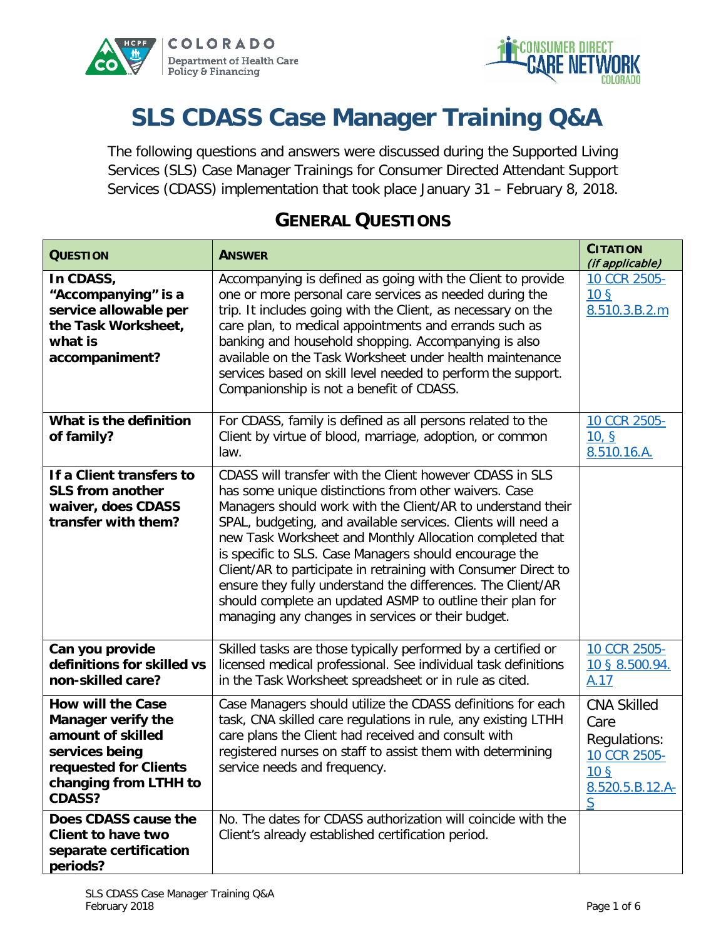



# **SLS CDASS Case Manager Training Q&A**

The following questions and answers were discussed during the Supported Living Services (SLS) Case Manager Trainings for Consumer Directed Attendant Support Services (CDASS) implementation that took place January 31 – February 8, 2018.

| <b>QUESTION</b>                                                                                                                                                                         | <b>ANSWER</b>                                                                                                                                                                                                                                                                                                                                                                                                                                                                                                                                                                                                             | <b>CITATION</b><br>(if applicable)                                                                    |
|-----------------------------------------------------------------------------------------------------------------------------------------------------------------------------------------|---------------------------------------------------------------------------------------------------------------------------------------------------------------------------------------------------------------------------------------------------------------------------------------------------------------------------------------------------------------------------------------------------------------------------------------------------------------------------------------------------------------------------------------------------------------------------------------------------------------------------|-------------------------------------------------------------------------------------------------------|
| In CDASS,<br>"Accompanying" is a<br>service allowable per<br>the Task Worksheet,<br>what is<br>accompaniment?                                                                           | Accompanying is defined as going with the Client to provide<br>one or more personal care services as needed during the<br>trip. It includes going with the Client, as necessary on the<br>care plan, to medical appointments and errands such as<br>banking and household shopping. Accompanying is also<br>available on the Task Worksheet under health maintenance<br>services based on skill level needed to perform the support.<br>Companionship is not a benefit of CDASS.                                                                                                                                          | 10 CCR 2505-<br>10 <sub>5</sub><br>8.510.3.B.2.m                                                      |
| What is the definition<br>of family?                                                                                                                                                    | For CDASS, family is defined as all persons related to the<br>Client by virtue of blood, marriage, adoption, or common<br>law.                                                                                                                                                                                                                                                                                                                                                                                                                                                                                            | 10 CCR 2505-<br>10, S<br>8.510.16.A.                                                                  |
| If a Client transfers to<br><b>SLS from another</b><br>waiver, does CDASS<br>transfer with them?                                                                                        | CDASS will transfer with the Client however CDASS in SLS<br>has some unique distinctions from other waivers. Case<br>Managers should work with the Client/AR to understand their<br>SPAL, budgeting, and available services. Clients will need a<br>new Task Worksheet and Monthly Allocation completed that<br>is specific to SLS. Case Managers should encourage the<br>Client/AR to participate in retraining with Consumer Direct to<br>ensure they fully understand the differences. The Client/AR<br>should complete an updated ASMP to outline their plan for<br>managing any changes in services or their budget. |                                                                                                       |
| Can you provide<br>definitions for skilled vs<br>non-skilled care?                                                                                                                      | Skilled tasks are those typically performed by a certified or<br>licensed medical professional. See individual task definitions<br>in the Task Worksheet spreadsheet or in rule as cited.                                                                                                                                                                                                                                                                                                                                                                                                                                 | 10 CCR 2505-<br>10 § 8.500.94.<br>A.17                                                                |
| <b>How will the Case</b><br><b>Manager verify the</b><br>amount of skilled<br>services being<br>requested for Clients<br>changing from LTHH to<br><b>CDASS?</b><br>Does CDASS cause the | Case Managers should utilize the CDASS definitions for each<br>task, CNA skilled care regulations in rule, any existing LTHH<br>care plans the Client had received and consult with<br>registered nurses on staff to assist them with determining<br>service needs and frequency.<br>No. The dates for CDASS authorization will coincide with the                                                                                                                                                                                                                                                                         | <b>CNA Skilled</b><br>Care<br>Regulations:<br>10 CCR 2505-<br>10 <sub>5</sub><br>8.520.5.B.12.A-<br>S |
| <b>Client to have two</b><br>separate certification<br>periods?                                                                                                                         | Client's already established certification period.                                                                                                                                                                                                                                                                                                                                                                                                                                                                                                                                                                        |                                                                                                       |

#### **GENERAL QUESTIONS**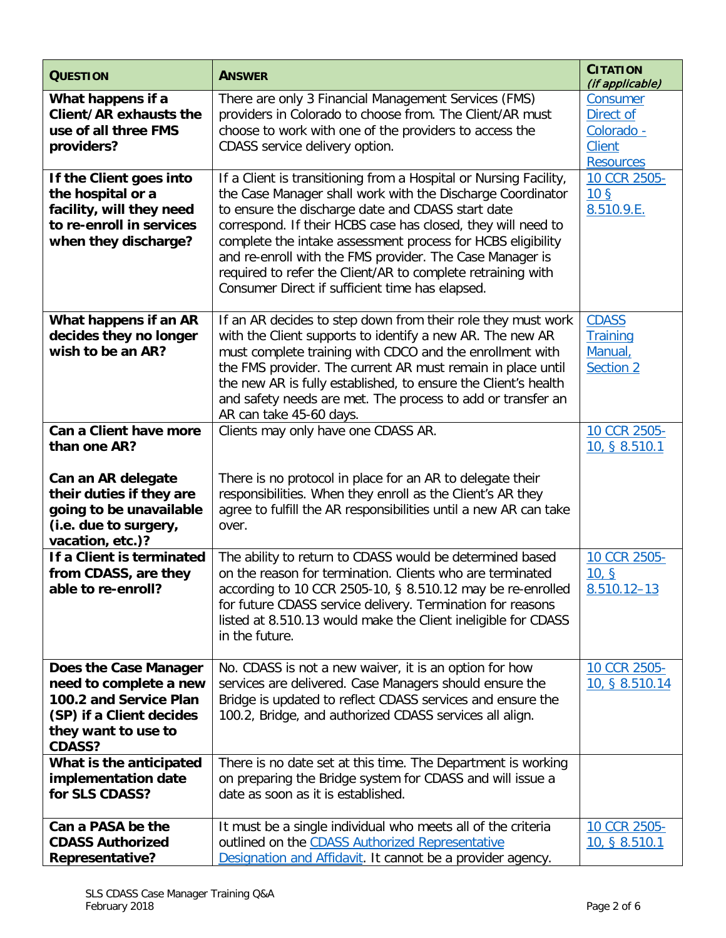| <b>QUESTION</b>                                                                                                                               | <b>ANSWER</b>                                                                                                                                                                                                                                                                                                                                                                                                                                                                                     | <b>CITATION</b><br>(if applicable)                                       |
|-----------------------------------------------------------------------------------------------------------------------------------------------|---------------------------------------------------------------------------------------------------------------------------------------------------------------------------------------------------------------------------------------------------------------------------------------------------------------------------------------------------------------------------------------------------------------------------------------------------------------------------------------------------|--------------------------------------------------------------------------|
| What happens if a<br>Client/AR exhausts the<br>use of all three FMS<br>providers?                                                             | There are only 3 Financial Management Services (FMS)<br>providers in Colorado to choose from. The Client/AR must<br>choose to work with one of the providers to access the<br>CDASS service delivery option.                                                                                                                                                                                                                                                                                      | Consumer<br>Direct of<br>Colorado -<br><b>Client</b><br><b>Resources</b> |
| If the Client goes into<br>the hospital or a<br>facility, will they need<br>to re-enroll in services<br>when they discharge?                  | If a Client is transitioning from a Hospital or Nursing Facility,<br>the Case Manager shall work with the Discharge Coordinator<br>to ensure the discharge date and CDASS start date<br>correspond. If their HCBS case has closed, they will need to<br>complete the intake assessment process for HCBS eligibility<br>and re-enroll with the FMS provider. The Case Manager is<br>required to refer the Client/AR to complete retraining with<br>Consumer Direct if sufficient time has elapsed. | 10 CCR 2505-<br>10 <sub>5</sub><br>8.510.9.E.                            |
| What happens if an AR<br>decides they no longer<br>wish to be an AR?                                                                          | If an AR decides to step down from their role they must work<br>with the Client supports to identify a new AR. The new AR<br>must complete training with CDCO and the enrollment with<br>the FMS provider. The current AR must remain in place until<br>the new AR is fully established, to ensure the Client's health<br>and safety needs are met. The process to add or transfer an<br>AR can take 45-60 days.                                                                                  | <b>CDASS</b><br><b>Training</b><br>Manual,<br>Section 2                  |
| Can a Client have more<br>than one AR?                                                                                                        | Clients may only have one CDASS AR.                                                                                                                                                                                                                                                                                                                                                                                                                                                               | 10 CCR 2505-<br>10, § 8.510.1                                            |
| Can an AR delegate<br>their duties if they are<br>going to be unavailable<br>(i.e. due to surgery,<br>vacation, etc.)?                        | There is no protocol in place for an AR to delegate their<br>responsibilities. When they enroll as the Client's AR they<br>agree to fulfill the AR responsibilities until a new AR can take<br>over.                                                                                                                                                                                                                                                                                              |                                                                          |
| If a Client is terminated<br>from CDASS, are they<br>able to re-enroll?                                                                       | The ability to return to CDASS would be determined based<br>on the reason for termination. Clients who are terminated<br>according to 10 CCR 2505-10, § 8.510.12 may be re-enrolled<br>for future CDASS service delivery. Termination for reasons<br>listed at 8.510.13 would make the Client ineligible for CDASS<br>in the future.                                                                                                                                                              | 10 CCR 2505-<br>10, S<br>$8.510.12 - 13$                                 |
| Does the Case Manager<br>need to complete a new<br>100.2 and Service Plan<br>(SP) if a Client decides<br>they want to use to<br><b>CDASS?</b> | No. CDASS is not a new waiver, it is an option for how<br>services are delivered. Case Managers should ensure the<br>Bridge is updated to reflect CDASS services and ensure the<br>100.2, Bridge, and authorized CDASS services all align.                                                                                                                                                                                                                                                        | 10 CCR 2505-<br>10, § 8.510.14                                           |
| What is the anticipated<br>implementation date<br>for SLS CDASS?                                                                              | There is no date set at this time. The Department is working<br>on preparing the Bridge system for CDASS and will issue a<br>date as soon as it is established.                                                                                                                                                                                                                                                                                                                                   |                                                                          |
| Can a PASA be the<br><b>CDASS Authorized</b><br><b>Representative?</b>                                                                        | It must be a single individual who meets all of the criteria<br>outlined on the CDASS Authorized Representative<br>Designation and Affidavit. It cannot be a provider agency.                                                                                                                                                                                                                                                                                                                     | 10 CCR 2505-<br>10, § 8.510.1                                            |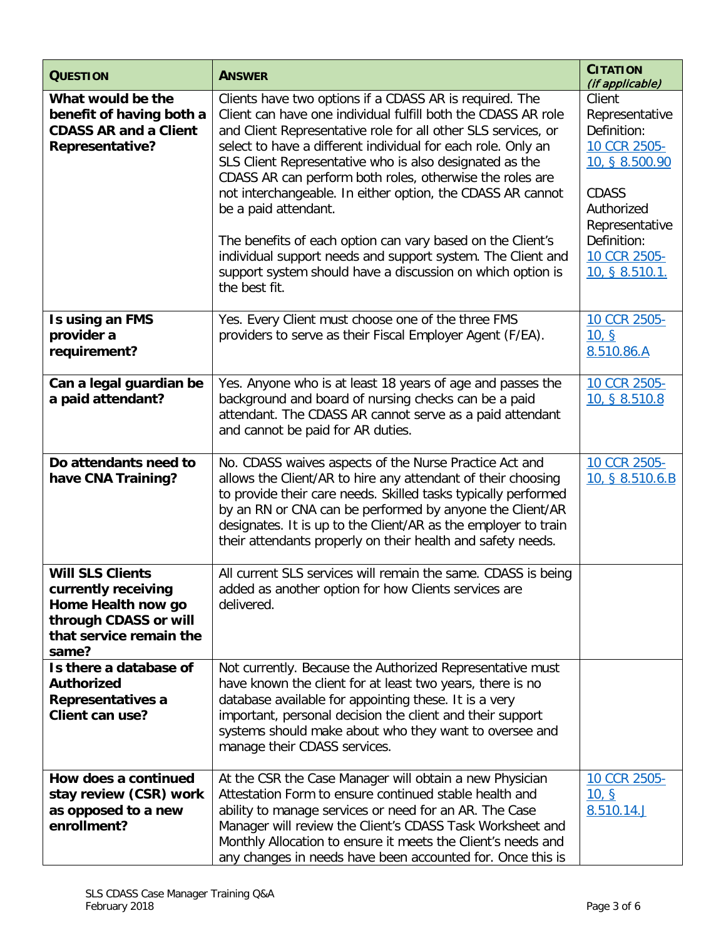| <b>QUESTION</b>                                                                                                                   | <b>ANSWER</b>                                                                                                                                                                                                                                                                                                                                                                                                                                                                                                                                                                                                                                                                      | <b>CITATION</b><br>(if applicable)                                                                                                                                         |
|-----------------------------------------------------------------------------------------------------------------------------------|------------------------------------------------------------------------------------------------------------------------------------------------------------------------------------------------------------------------------------------------------------------------------------------------------------------------------------------------------------------------------------------------------------------------------------------------------------------------------------------------------------------------------------------------------------------------------------------------------------------------------------------------------------------------------------|----------------------------------------------------------------------------------------------------------------------------------------------------------------------------|
| What would be the<br>benefit of having both a<br><b>CDASS AR and a Client</b><br><b>Representative?</b>                           | Clients have two options if a CDASS AR is required. The<br>Client can have one individual fulfill both the CDASS AR role<br>and Client Representative role for all other SLS services, or<br>select to have a different individual for each role. Only an<br>SLS Client Representative who is also designated as the<br>CDASS AR can perform both roles, otherwise the roles are<br>not interchangeable. In either option, the CDASS AR cannot<br>be a paid attendant.<br>The benefits of each option can vary based on the Client's<br>individual support needs and support system. The Client and<br>support system should have a discussion on which option is<br>the best fit. | Client<br>Representative<br>Definition:<br>10 CCR 2505-<br>10, § 8.500.90<br><b>CDASS</b><br>Authorized<br>Representative<br>Definition:<br>10 CCR 2505-<br>10, § 8.510.1. |
| Is using an FMS<br>provider a<br>requirement?                                                                                     | Yes. Every Client must choose one of the three FMS<br>providers to serve as their Fiscal Employer Agent (F/EA).                                                                                                                                                                                                                                                                                                                                                                                                                                                                                                                                                                    | 10 CCR 2505-<br>10, S<br>8.510.86.A                                                                                                                                        |
| Can a legal guardian be<br>a paid attendant?                                                                                      | Yes. Anyone who is at least 18 years of age and passes the<br>background and board of nursing checks can be a paid<br>attendant. The CDASS AR cannot serve as a paid attendant<br>and cannot be paid for AR duties.                                                                                                                                                                                                                                                                                                                                                                                                                                                                | 10 CCR 2505-<br>10, § 8.510.8                                                                                                                                              |
| Do attendants need to<br>have CNA Training?                                                                                       | No. CDASS waives aspects of the Nurse Practice Act and<br>allows the Client/AR to hire any attendant of their choosing<br>to provide their care needs. Skilled tasks typically performed<br>by an RN or CNA can be performed by anyone the Client/AR<br>designates. It is up to the Client/AR as the employer to train<br>their attendants properly on their health and safety needs.                                                                                                                                                                                                                                                                                              | 10 CCR 2505-<br>10, § 8.510.6.B                                                                                                                                            |
| <b>Will SLS Clients</b><br>currently receiving<br>Home Health now go<br>through CDASS or will<br>that service remain the<br>same? | All current SLS services will remain the same. CDASS is being<br>added as another option for how Clients services are<br>delivered.                                                                                                                                                                                                                                                                                                                                                                                                                                                                                                                                                |                                                                                                                                                                            |
| Is there a database of<br><b>Authorized</b><br>Representatives a<br>Client can use?                                               | Not currently. Because the Authorized Representative must<br>have known the client for at least two years, there is no<br>database available for appointing these. It is a very<br>important, personal decision the client and their support<br>systems should make about who they want to oversee and<br>manage their CDASS services.                                                                                                                                                                                                                                                                                                                                             |                                                                                                                                                                            |
| How does a continued<br>stay review (CSR) work<br>as opposed to a new<br>enrollment?                                              | At the CSR the Case Manager will obtain a new Physician<br>Attestation Form to ensure continued stable health and<br>ability to manage services or need for an AR. The Case<br>Manager will review the Client's CDASS Task Worksheet and<br>Monthly Allocation to ensure it meets the Client's needs and<br>any changes in needs have been accounted for. Once this is                                                                                                                                                                                                                                                                                                             | 10 CCR 2505-<br>10, S<br>8.510.14.J                                                                                                                                        |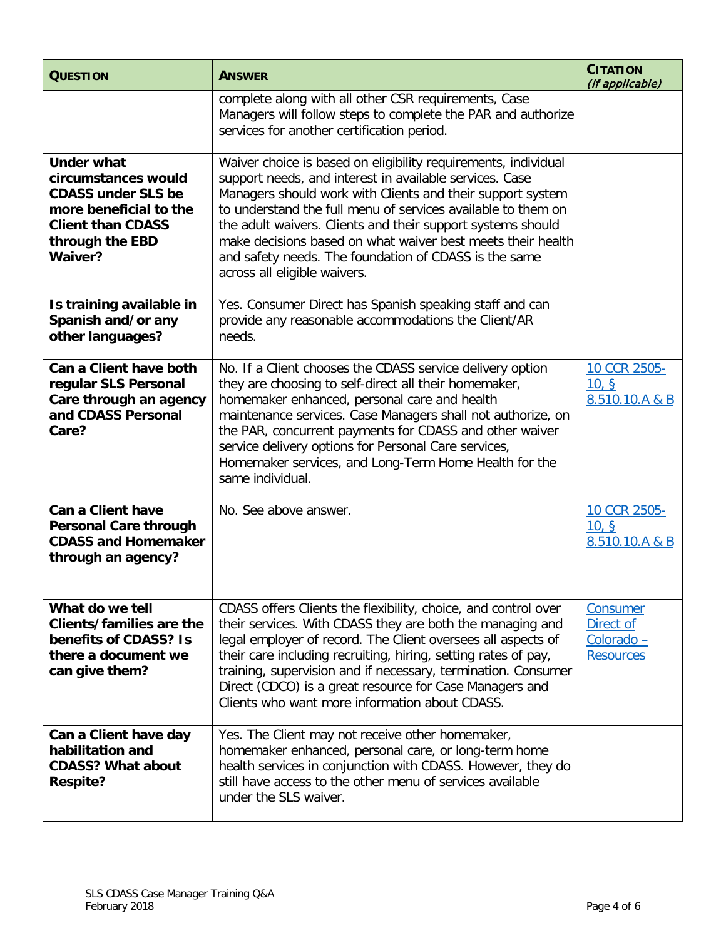| <b>QUESTION</b>                                                                                                                                           | <b>ANSWER</b>                                                                                                                                                                                                                                                                                                                                                                                                                                                                  | <b>CITATION</b><br>(if applicable)                      |
|-----------------------------------------------------------------------------------------------------------------------------------------------------------|--------------------------------------------------------------------------------------------------------------------------------------------------------------------------------------------------------------------------------------------------------------------------------------------------------------------------------------------------------------------------------------------------------------------------------------------------------------------------------|---------------------------------------------------------|
|                                                                                                                                                           | complete along with all other CSR requirements, Case<br>Managers will follow steps to complete the PAR and authorize<br>services for another certification period.                                                                                                                                                                                                                                                                                                             |                                                         |
| <b>Under what</b><br>circumstances would<br><b>CDASS under SLS be</b><br>more beneficial to the<br><b>Client than CDASS</b><br>through the EBD<br>Waiver? | Waiver choice is based on eligibility requirements, individual<br>support needs, and interest in available services. Case<br>Managers should work with Clients and their support system<br>to understand the full menu of services available to them on<br>the adult waivers. Clients and their support systems should<br>make decisions based on what waiver best meets their health<br>and safety needs. The foundation of CDASS is the same<br>across all eligible waivers. |                                                         |
| Is training available in<br>Spanish and/or any<br>other languages?                                                                                        | Yes. Consumer Direct has Spanish speaking staff and can<br>provide any reasonable accommodations the Client/AR<br>needs.                                                                                                                                                                                                                                                                                                                                                       |                                                         |
| Can a Client have both<br>regular SLS Personal<br>Care through an agency<br>and CDASS Personal<br>Care?                                                   | No. If a Client chooses the CDASS service delivery option<br>they are choosing to self-direct all their homemaker,<br>homemaker enhanced, personal care and health<br>maintenance services. Case Managers shall not authorize, on<br>the PAR, concurrent payments for CDASS and other waiver<br>service delivery options for Personal Care services,<br>Homemaker services, and Long-Term Home Health for the<br>same individual.                                              | 10 CCR 2505-<br>10, S<br>8.510.10.A & B                 |
| <b>Can a Client have</b><br><b>Personal Care through</b><br><b>CDASS and Homemaker</b><br>through an agency?                                              | No. See above answer.                                                                                                                                                                                                                                                                                                                                                                                                                                                          | 10 CCR 2505-<br>10, S<br>8.510.10.A & B                 |
| What do we tell<br>Clients/families are the<br>benefits of CDASS? Is<br>there a document we<br>can give them?                                             | CDASS offers Clients the flexibility, choice, and control over<br>their services. With CDASS they are both the managing and<br>legal employer of record. The Client oversees all aspects of<br>their care including recruiting, hiring, setting rates of pay,<br>training, supervision and if necessary, termination. Consumer<br>Direct (CDCO) is a great resource for Case Managers and<br>Clients who want more information about CDASS.                                    | Consumer<br>Direct of<br>Colorado -<br><b>Resources</b> |
| Can a Client have day<br>habilitation and<br><b>CDASS? What about</b><br><b>Respite?</b>                                                                  | Yes. The Client may not receive other homemaker,<br>homemaker enhanced, personal care, or long-term home<br>health services in conjunction with CDASS. However, they do<br>still have access to the other menu of services available<br>under the SLS waiver.                                                                                                                                                                                                                  |                                                         |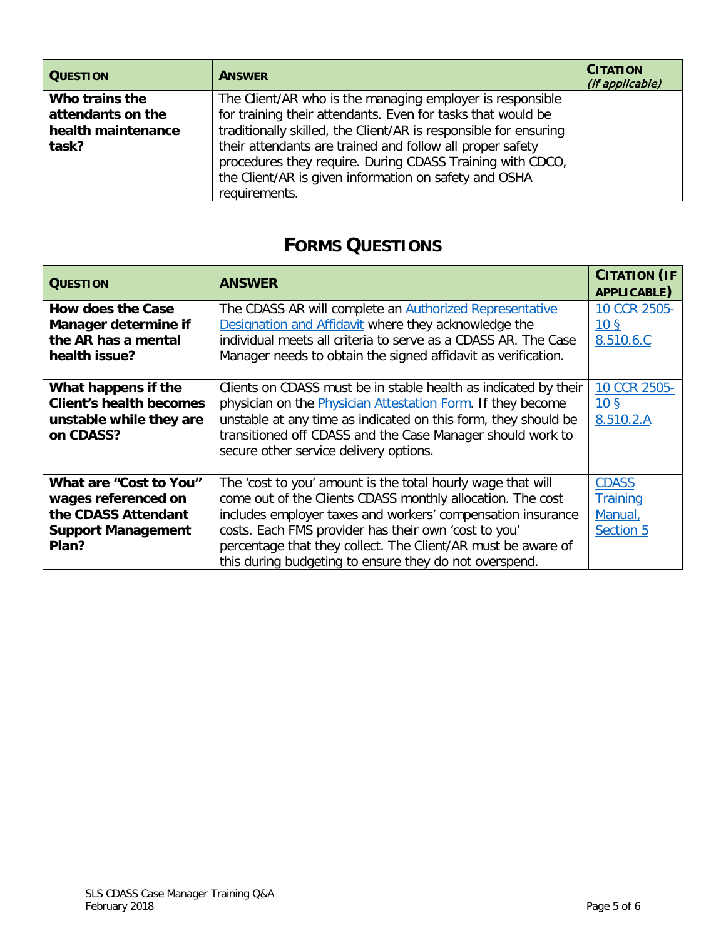| <b>QUESTION</b>                                                    | <b>ANSWER</b>                                                                                                                                                                                                                                                                                                                                                                                    | <b>CITATION</b><br>(if applicable) |
|--------------------------------------------------------------------|--------------------------------------------------------------------------------------------------------------------------------------------------------------------------------------------------------------------------------------------------------------------------------------------------------------------------------------------------------------------------------------------------|------------------------------------|
| Who trains the<br>attendants on the<br>health maintenance<br>task? | The Client/AR who is the managing employer is responsible<br>for training their attendants. Even for tasks that would be<br>traditionally skilled, the Client/AR is responsible for ensuring<br>their attendants are trained and follow all proper safety<br>procedures they require. During CDASS Training with CDCO,<br>the Client/AR is given information on safety and OSHA<br>requirements. |                                    |

## **FORMS QUESTIONS**

| <b>QUESTION</b>                                                                                            | <b>ANSWER</b>                                                                                                                                                                                                                                                                                                                                                              | <b>CITATION (IF</b><br>APPLICABLE)                      |
|------------------------------------------------------------------------------------------------------------|----------------------------------------------------------------------------------------------------------------------------------------------------------------------------------------------------------------------------------------------------------------------------------------------------------------------------------------------------------------------------|---------------------------------------------------------|
| <b>How does the Case</b><br>Manager determine if<br>the AR has a mental<br>health issue?                   | The CDASS AR will complete an <b>Authorized Representative</b><br>Designation and Affidavit where they acknowledge the<br>individual meets all criteria to serve as a CDASS AR. The Case<br>Manager needs to obtain the signed affidavit as verification.                                                                                                                  | 10 CCR 2505-<br>10 <sub>5</sub><br>8.510.6.C            |
| What happens if the<br><b>Client's health becomes</b><br>unstable while they are<br>on CDASS?              | Clients on CDASS must be in stable health as indicated by their<br>physician on the <b>Physician Attestation Form</b> . If they become<br>unstable at any time as indicated on this form, they should be<br>transitioned off CDASS and the Case Manager should work to<br>secure other service delivery options.                                                           | 10 CCR 2505-<br>10 <sub>5</sub><br>8.510.2.A            |
| What are "Cost to You"<br>wages referenced on<br>the CDASS Attendant<br><b>Support Management</b><br>Plan? | The 'cost to you' amount is the total hourly wage that will<br>come out of the Clients CDASS monthly allocation. The cost<br>includes employer taxes and workers' compensation insurance<br>costs. Each FMS provider has their own 'cost to you'<br>percentage that they collect. The Client/AR must be aware of<br>this during budgeting to ensure they do not overspend. | <b>CDASS</b><br><b>Training</b><br>Manual,<br>Section 5 |